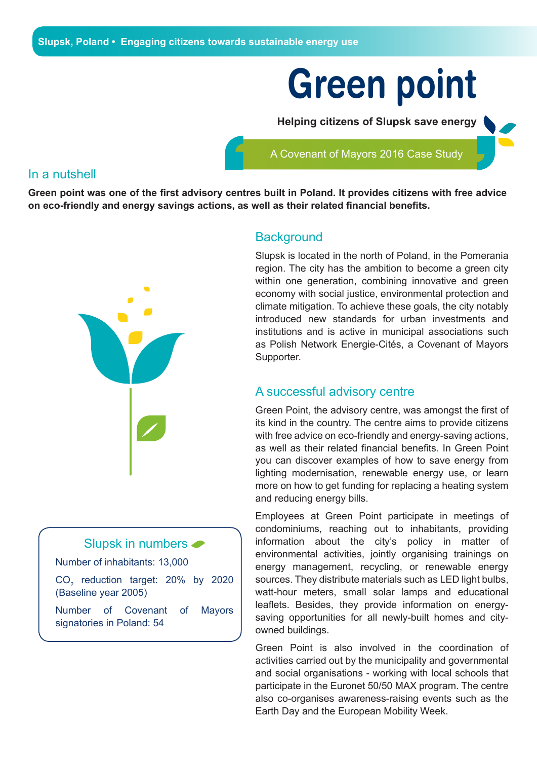# **Green point**

**Helping citizens of Slupsk save energy** 

A Covenant of Mayors 2016 Case Study

#### In a nutshell

**Green point was one of the first advisory centres built in Poland. It provides citizens with free advice on eco-friendly and energy savings actions, as well as their related financial benefits.**



## Slupsk in numbers

Number of inhabitants: 13,000

 $CO<sub>2</sub>$  reduction target: 20% by 2020 (Baseline year 2005)

Number of Covenant of Mayors signatories in Poland: 54

#### **Background**

Slupsk is located in the north of Poland, in the Pomerania region. The city has the ambition to become a green city within one generation, combining innovative and green economy with social justice, environmental protection and climate mitigation. To achieve these goals, the city notably introduced new standards for urban investments and institutions and is active in municipal associations such as Polish Network Energie-Cités, a Covenant of Mayors Supporter.

## A successful advisory centre

Green Point, the advisory centre, was amongst the first of its kind in the country. The centre aims to provide citizens with free advice on eco-friendly and energy-saving actions, as well as their related financial benefits. In Green Point you can discover examples of how to save energy from lighting modernisation, renewable energy use, or learn more on how to get funding for replacing a heating system and reducing energy bills.

Employees at Green Point participate in meetings of condominiums, reaching out to inhabitants, providing information about the city's policy in matter of environmental activities, jointly organising trainings on energy management, recycling, or renewable energy sources. They distribute materials such as LED light bulbs, watt-hour meters, small solar lamps and educational leaflets. Besides, they provide information on energysaving opportunities for all newly-built homes and cityowned buildings.

Green Point is also involved in the coordination of activities carried out by the municipality and governmental and social organisations - working with local schools that participate in the Euronet 50/50 MAX program. The centre also co-organises awareness-raising events such as the Earth Day and the European Mobility Week.